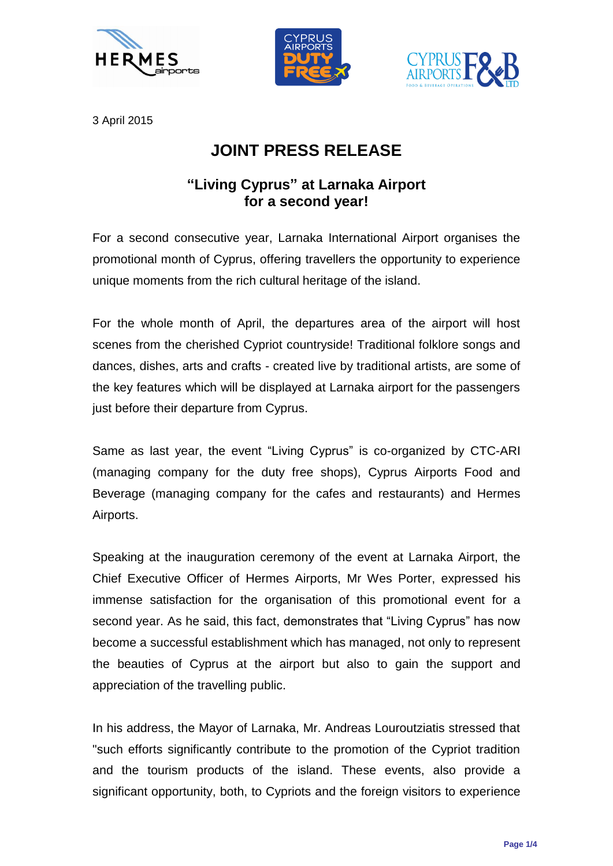





3 April 2015

## **JOINT PRESS RELEASE**

## **"Living Cyprus" at Larnaka Airport for a second year!**

For a second consecutive year, Larnaka International Airport organises the promotional month of Cyprus, offering travellers the opportunity to experience unique moments from the rich cultural heritage of the island.

For the whole month of April, the departures area of the airport will host scenes from the cherished Cypriot countryside! Traditional folklore songs and dances, dishes, arts and crafts - created live by traditional artists, are some of the key features which will be displayed at Larnaka airport for the passengers just before their departure from Cyprus.

Same as last year, the event "Living Cyprus" is co-organized by CTC-ARI (managing company for the duty free shops), Cyprus Airports Food and Beverage (managing company for the cafes and restaurants) and Hermes Airports.

Speaking at the inauguration ceremony of the event at Larnaka Airport, the Chief Executive Officer of Hermes Airports, Mr Wes Porter, expressed his immense satisfaction for the organisation of this promotional event for a second year. As he said, this fact, demonstrates that "Living Cyprus" has now become a successful establishment which has managed, not only to represent the beauties of Cyprus at the airport but also to gain the support and appreciation of the travelling public.

In his address, the Mayor of Larnaka, Mr. Andreas Louroutziatis stressed that "such efforts significantly contribute to the promotion of the Cypriot tradition and the tourism products of the island. These events, also provide a significant opportunity, both, to Cypriots and the foreign visitors to experience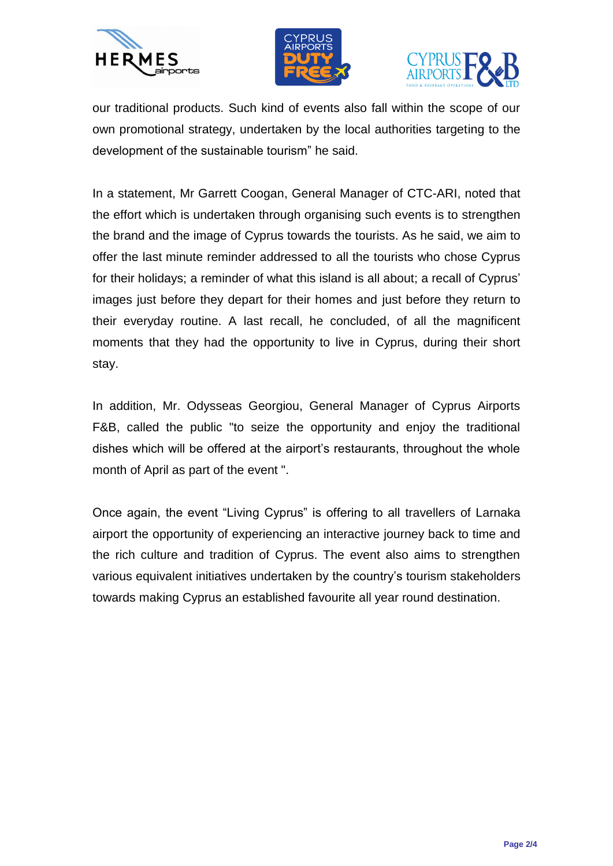





our traditional products. Such kind of events also fall within the scope of our own promotional strategy, undertaken by the local authorities targeting to the development of the sustainable tourism" he said.

In a statement, Mr Garrett Coogan, General Manager of CTC-ARI, noted that the effort which is undertaken through organising such events is to strengthen the brand and the image of Cyprus towards the tourists. As he said, we aim to offer the last minute reminder addressed to all the tourists who chose Cyprus for their holidays; a reminder of what this island is all about; a recall of Cyprus' images just before they depart for their homes and just before they return to their everyday routine. A last recall, he concluded, of all the magnificent moments that they had the opportunity to live in Cyprus, during their short stay.

In addition, Mr. Odysseas Georgiou, General Manager of Cyprus Airports F&B, called the public "to seize the opportunity and enjoy the traditional dishes which will be offered at the airport's restaurants, throughout the whole month of April as part of the event ".

Once again, the event "Living Cyprus" is offering to all travellers of Larnaka airport the opportunity of experiencing an interactive journey back to time and the rich culture and tradition of Cyprus. The event also aims to strengthen various equivalent initiatives undertaken by the country's tourism stakeholders towards making Cyprus an established favourite all year round destination.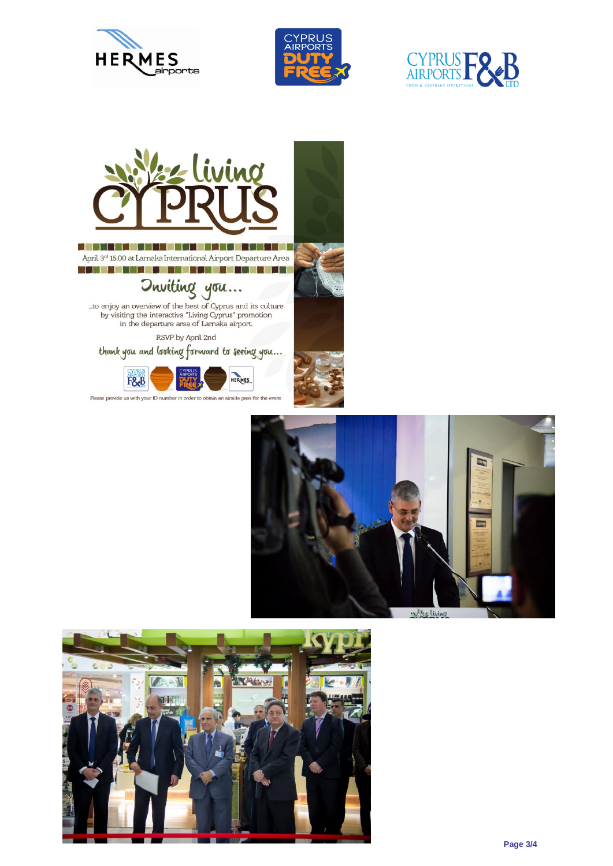







April 3rd 15.00 at Larnaka International Airport Departure Area <u> 1978 - Berlin Berlin av Hermes (f. 19</u>

**Ouviling you...**<br>to enjoy an overview of the best of Cyprus and its culture<br>by visiting the interactive "Living Cyprus" promotion<br>in the departure area of Larnaka airport.

RSVP by April 2nd

thank you and looking forward to seeing you...



Please provide us with your ID number in order to obtain an airside pass for the event